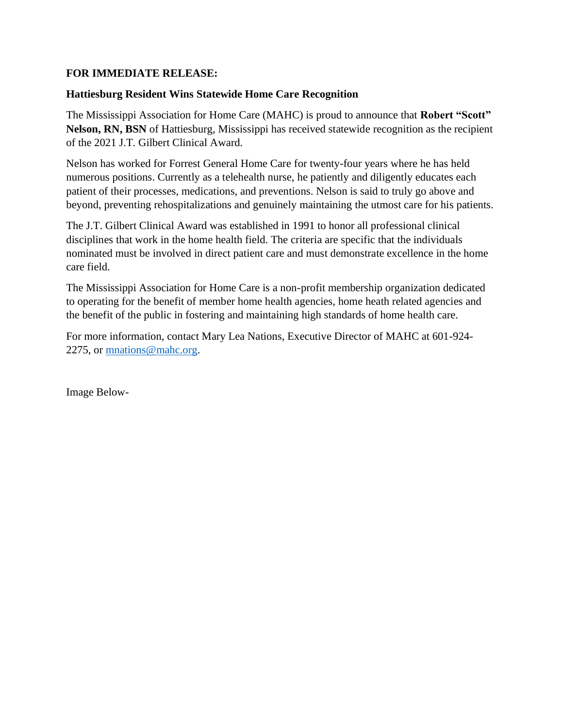## **FOR IMMEDIATE RELEASE:**

## **Hattiesburg Resident Wins Statewide Home Care Recognition**

The Mississippi Association for Home Care (MAHC) is proud to announce that **Robert "Scott" Nelson, RN, BSN** of Hattiesburg, Mississippi has received statewide recognition as the recipient of the 2021 J.T. Gilbert Clinical Award.

Nelson has worked for Forrest General Home Care for twenty-four years where he has held numerous positions. Currently as a telehealth nurse, he patiently and diligently educates each patient of their processes, medications, and preventions. Nelson is said to truly go above and beyond, preventing rehospitalizations and genuinely maintaining the utmost care for his patients.

The J.T. Gilbert Clinical Award was established in 1991 to honor all professional clinical disciplines that work in the home health field. The criteria are specific that the individuals nominated must be involved in direct patient care and must demonstrate excellence in the home care field.

The Mississippi Association for Home Care is a non-profit membership organization dedicated to operating for the benefit of member home health agencies, home heath related agencies and the benefit of the public in fostering and maintaining high standards of home health care.

For more information, contact Mary Lea Nations, Executive Director of MAHC at 601-924- 2275, or [mnations@mahc.org.](mailto:mnations@mahc.org)

Image Below-